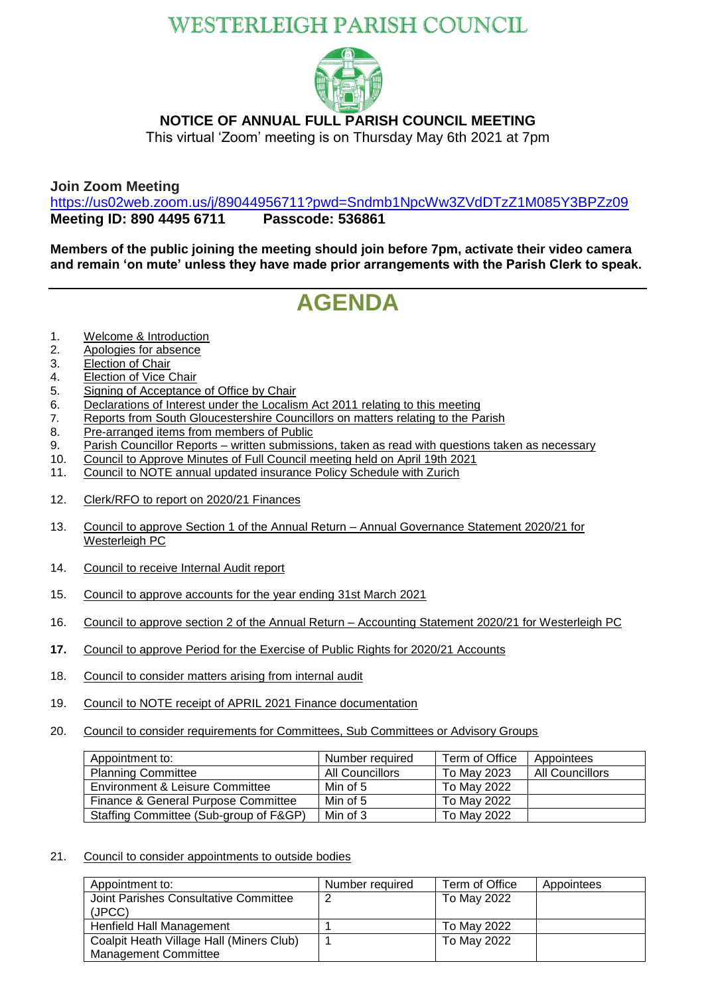## **WESTERLEIGH PARISH COUNCIL**



### **NOTICE OF ANNUAL FULL PARISH COUNCIL MEETING**

This virtual 'Zoom' meeting is on Thursday May 6th 2021 at 7pm

**Join Zoom Meeting**

<https://us02web.zoom.us/j/89044956711?pwd=Sndmb1NpcWw3ZVdDTzZ1M085Y3BPZz09> **Meeting ID: 890 4495 6711 Passcode: 536861**

**Members of the public joining the meeting should join before 7pm, activate their video camera and remain 'on mute' unless they have made prior arrangements with the Parish Clerk to speak.**

# **AGENDA**

- 1. Welcome & Introduction
- 2. Apologies for absence
- 3. Election of Chair
- 4. Election of Vice Chair
- 5. Signing of Acceptance of Office by Chair
- 6. Declarations of Interest under the Localism Act 2011 relating to this meeting
- 7. Reports from South Gloucestershire Councillors on matters relating to the Parish<br>8. Pre-arranged items from members of Public
- Pre-arranged items from members of Public
- 9. Parish Councillor Reports written submissions, taken as read with questions taken as necessary
- 10. Council to Approve Minutes of Full Council meeting held on April 19th 2021
- 11. Council to NOTE annual updated insurance Policy Schedule with Zurich
- 12. Clerk/RFO to report on 2020/21 Finances
- 13. Council to approve Section 1 of the Annual Return Annual Governance Statement 2020/21 for Westerleigh PC
- 14. Council to receive Internal Audit report
- 15. Council to approve accounts for the year ending 31st March 2021
- 16. Council to approve section 2 of the Annual Return Accounting Statement 2020/21 for Westerleigh PC
- **17.** Council to approve Period for the Exercise of Public Rights for 2020/21 Accounts
- 18. Council to consider matters arising from internal audit
- 19. Council to NOTE receipt of APRIL 2021 Finance documentation
- 20. Council to consider requirements for Committees, Sub Committees or Advisory Groups

| Appointment to:                        | Number required | Term of Office | Appointees             |
|----------------------------------------|-----------------|----------------|------------------------|
| <b>Planning Committee</b>              | All Councillors | To May 2023    | <b>All Councillors</b> |
| Environment & Leisure Committee        | Min of 5        | To May 2022    |                        |
| Finance & General Purpose Committee    | Min of 5        | To May 2022    |                        |
| Staffing Committee (Sub-group of F&GP) | Min of 3        | To May 2022    |                        |

#### 21. Council to consider appointments to outside bodies

| Appointment to:                          | Number required | Term of Office | Appointees |
|------------------------------------------|-----------------|----------------|------------|
| Joint Parishes Consultative Committee    | 2               | To May 2022    |            |
| (JPCC)                                   |                 |                |            |
| Henfield Hall Management                 |                 | To May 2022    |            |
| Coalpit Heath Village Hall (Miners Club) |                 | To May 2022    |            |
| <b>Management Committee</b>              |                 |                |            |